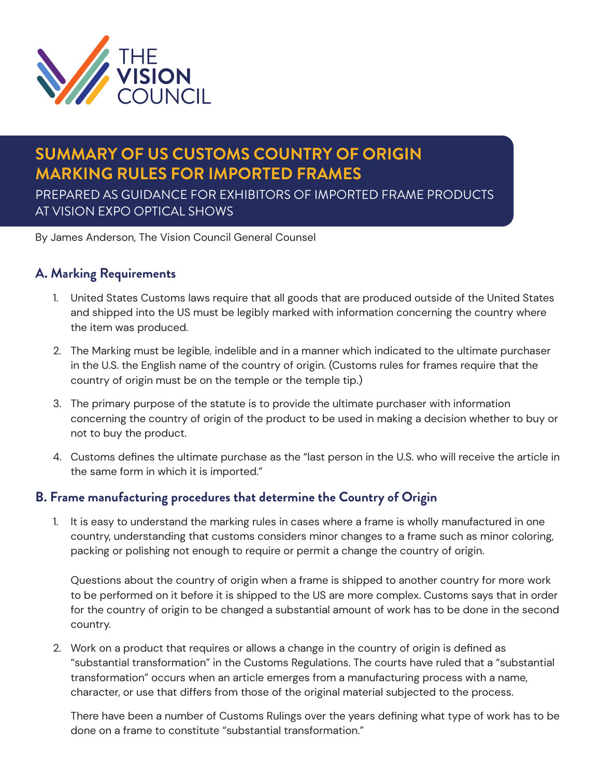

# **SUMMARY OF US CUSTOMS COUNTRY OF ORIGIN MARKING RULES FOR IMPORTED FRAMES**

PREPARED AS GUIDANCE FOR EXHIBITORS OF IMPORTED FRAME PRODUCTS AT VISION EXPO OPTICAL SHOWS

By James Anderson, The Vision Council General Counsel

# **A. Marking Requirements**

- 1. United States Customs laws require that all goods that are produced outside of the United States and shipped into the US must be legibly marked with information concerning the country where the item was produced.
- 2. The Marking must be legible, indelible and in a manner which indicated to the ultimate purchaser in the U.S. the English name of the country of origin. (Customs rules for frames require that the country of origin must be on the temple or the temple tip.)
- 3. The primary purpose of the statute is to provide the ultimate purchaser with information concerning the country of origin of the product to be used in making a decision whether to buy or not to buy the product.
- 4. Customs defines the ultimate purchase as the "last person in the U.S. who will receive the article in the same form in which it is imported."

#### **B. Frame manufacturing procedures that determine the Country of Origin**

1. It is easy to understand the marking rules in cases where a frame is wholly manufactured in one country, understanding that customs considers minor changes to a frame such as minor coloring, packing or polishing not enough to require or permit a change the country of origin.

Questions about the country of origin when a frame is shipped to another country for more work to be performed on it before it is shipped to the US are more complex. Customs says that in order for the country of origin to be changed a substantial amount of work has to be done in the second country.

2. Work on a product that requires or allows a change in the country of origin is defined as "substantial transformation" in the Customs Regulations. The courts have ruled that a "substantial transformation" occurs when an article emerges from a manufacturing process with a name, character, or use that differs from those of the original material subjected to the process.

There have been a number of Customs Rulings over the years defining what type of work has to be done on a frame to constitute "substantial transformation."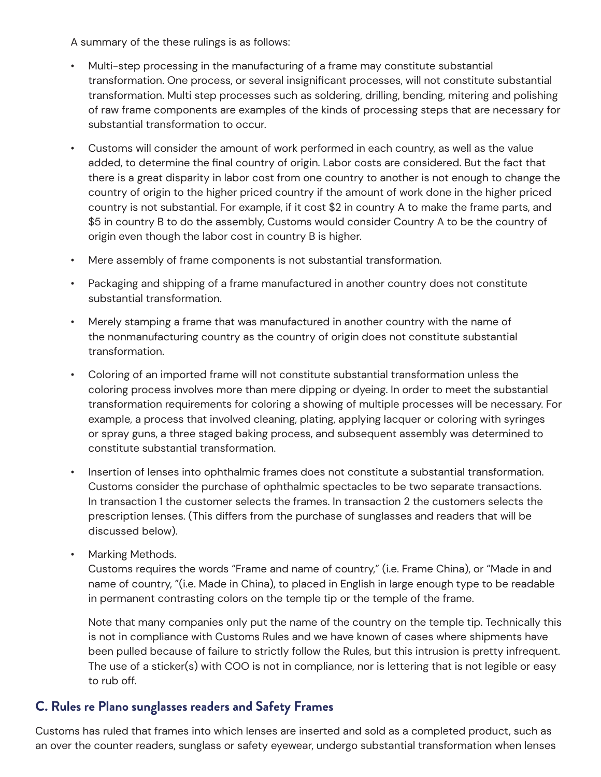A summary of the these rulings is as follows:

- Multi-step processing in the manufacturing of a frame may constitute substantial transformation. One process, or several insignificant processes, will not constitute substantial transformation. Multi step processes such as soldering, drilling, bending, mitering and polishing of raw frame components are examples of the kinds of processing steps that are necessary for substantial transformation to occur.
- Customs will consider the amount of work performed in each country, as well as the value added, to determine the final country of origin. Labor costs are considered. But the fact that there is a great disparity in labor cost from one country to another is not enough to change the country of origin to the higher priced country if the amount of work done in the higher priced country is not substantial. For example, if it cost \$2 in country A to make the frame parts, and \$5 in country B to do the assembly, Customs would consider Country A to be the country of origin even though the labor cost in country B is higher.
- Mere assembly of frame components is not substantial transformation.
- Packaging and shipping of a frame manufactured in another country does not constitute substantial transformation.
- Merely stamping a frame that was manufactured in another country with the name of the nonmanufacturing country as the country of origin does not constitute substantial transformation.
- Coloring of an imported frame will not constitute substantial transformation unless the coloring process involves more than mere dipping or dyeing. In order to meet the substantial transformation requirements for coloring a showing of multiple processes will be necessary. For example, a process that involved cleaning, plating, applying lacquer or coloring with syringes or spray guns, a three staged baking process, and subsequent assembly was determined to constitute substantial transformation.
- Insertion of lenses into ophthalmic frames does not constitute a substantial transformation. Customs consider the purchase of ophthalmic spectacles to be two separate transactions. In transaction 1 the customer selects the frames. In transaction 2 the customers selects the prescription lenses. (This differs from the purchase of sunglasses and readers that will be discussed below).
- Marking Methods.

Customs requires the words "Frame and name of country," (i.e. Frame China), or "Made in and name of country, "(i.e. Made in China), to placed in English in large enough type to be readable in permanent contrasting colors on the temple tip or the temple of the frame.

Note that many companies only put the name of the country on the temple tip. Technically this is not in compliance with Customs Rules and we have known of cases where shipments have been pulled because of failure to strictly follow the Rules, but this intrusion is pretty infrequent. The use of a sticker(s) with COO is not in compliance, nor is lettering that is not legible or easy to rub off.

### **C. Rules re Plano sunglasses readers and Safety Frames**

Customs has ruled that frames into which lenses are inserted and sold as a completed product, such as an over the counter readers, sunglass or safety eyewear, undergo substantial transformation when lenses